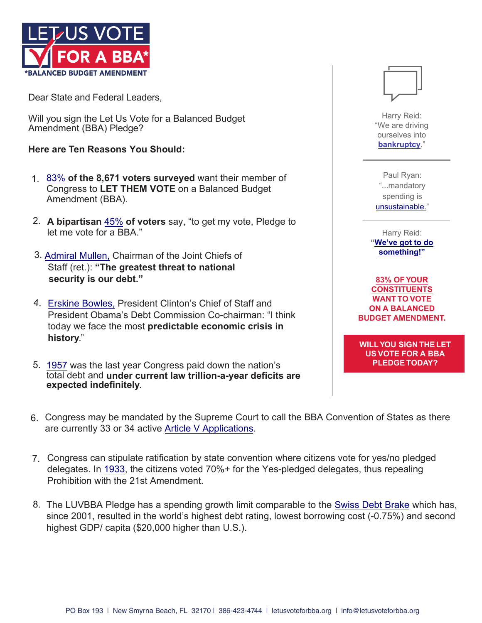

Dear State and Federal Leaders,

Will you sign the Let Us Vote for a Balanced Budget Amendment (BBA) Pledge?

**Here are Ten Reasons You Should:**

- 1. 83% of the 8,671 voters surveyed want their member of [Congr](https://letusvoteforbba.org/bba-poll-results/)ess to **LET THEM VOTE** on a Balanced Budget Amendment (BBA).
- **A bipartisan** [45%](https://letusvoteforbba.org/bba-poll-results/) **of voters** say, "to get my vote, Pledge to 2. let me vote for a BBA."
- 3. A[dmiral Mullen](https://www.huffpost.com/entry/adm-mike-mullen-national_n_624096), Chairman of the Joint Chiefs of Staff (ret.): **"The greatest threat to national security is our debt."**
- 4. [Erskine Bowles,](https://www.huffpost.com/entry/erskine-bowles-economic-crisis_n_1464999) President Clinton's Chief of Staff and President Obama's Debt Commission Co-chairman: "I think today we face the most **predictable economic crisis in history**."
- 5. [1957](https://www.cnsnews.com/news/article/terence-p-jeffrey/federal-debt-increases-60th-straight-fiscal-year) was the last year Congress paid down the nation's total debt and **under current law trillion-a-year deficits are expected indefinitely**.

 $\Box$ 

Harry Reid: "We are driving ourselves into **[bankruptcy](https://letusvoteforbba.org/app/uploads/2020/05/Congressional-Leaders-Warn-National-Debt-is-Unsustainable.pdf)**."

Paul Ryan: "...mandatory spending is [unsustainable](https://letusvoteforbba.org/app/uploads/2020/05/Congressional-Leaders-Warn-National-Debt-is-Unsustainable.pdf)[."](https://letusvoteforbba.org/app/uploads/2020/05/Congressional-Leaders-Warn-National-Debt-is-Unsustainable.pdf)

Harry Reid: **["We've got to do](https://letusvoteforbba.org/app/uploads/2020/05/Congressional-Leaders-Warn-National-Debt-is-Unsustainable.pdf) something!"**

**[83% OF YOUR](https://letusvoteforbba.org/bba-poll-results/)  CONSTITUENTS WANT TO VOTE ON A BALANCED BUDGET AMENDMENT.**

**WILL YOU SIGN THELET US VOTE FOR A BBA PLEDGE TODAY?**

- 6. Congress may be mandated by the Supreme Court to call the BBA Convention of States as there are currently 33 or 34 active [Article V Application](https://letusvoteforbba.org/app/uploads/2019/08/Active-BBA-and-Any-Subject-Article-V-Application-Details.pdf)s.
- 7. Congress can stipulate ratification by state convention where citizens vote for yes/no pledged delegates. In [1933,](https://letusvoteforbba.org/app/uploads/2019/08/Summary-of-the-Ratification-of-the-Twenty-first-Amendment-1.pdf) the citizens voted 70%+ for the Yes-pledged delegates, thus repealing Prohibition with the 21st Amendment.
- 8. The LUVBBA Pledge has a spending growth limit comparable to the [Swiss Debt Brake](https://danieljmitchell.wordpress.com/2018/06/26/the-continuing-success-of-switzerlands-spending-cap/) which has, since 2001, resulted in the world's highest debt rating, lowest borrowing cost (-0.75%) and second highest GDP/ capita (\$20,000 higher than U.S.).